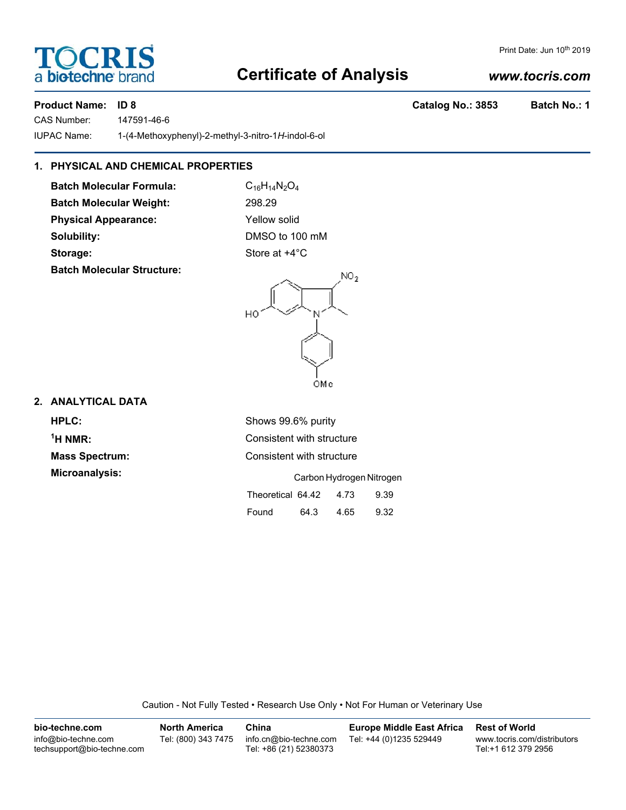## **Certificate of Analysis**

a **bio-techne** bi

**TOCRIS** 

CAS Number: 147591-46-6 IUPAC Name: 1-(4-Methoxyphenyl)-2-methyl-3-nitro-1*H*-indol-6-ol

### **1. PHYSICAL AND CHEMICAL PROPERTIES**

**Batch Molecular Formula:** C<sub>16</sub>H<sub>14</sub>N<sub>2</sub>O<sub>4</sub> **Batch Molecular Weight:** 298.29 **Physical Appearance:** Yellow solid **Solubility:** DMSO to 100 mM **Storage:** Store at  $+4^{\circ}$ C

**Batch Molecular Structure:**

HO

# **2. ANALYTICAL DATA**

| <b>HPLC:</b>          |
|-----------------------|
| $1H NMR$ :            |
| <b>Mass Spectrum:</b> |
| Microanalysis:        |

| <b>HPLC:</b>          | Shows 99.6% purity                |
|-----------------------|-----------------------------------|
| $^1$ H NMR:           | Consistent with structure         |
| <b>Mass Spectrum:</b> | Consistent with structure         |
| Microanalysis:        | Carbon Hydrogen Nitrogen          |
|                       | Theoretical 64.42<br>9.39<br>4.73 |
|                       | 9.32<br>Found<br>64.3<br>4.65     |

OMe

И.

 $NO<sub>2</sub>$ 

Caution - Not Fully Tested • Research Use Only • Not For Human or Veterinary Use

| bio-techne.com                                    | <b>North America</b> | China                                            | <b>Europe Middle East Africa</b> | <b>Rest of World</b>                               |
|---------------------------------------------------|----------------------|--------------------------------------------------|----------------------------------|----------------------------------------------------|
| info@bio-techne.com<br>techsupport@bio-techne.com | Tel: (800) 343 7475  | info.cn@bio-techne.com<br>Tel: +86 (21) 52380373 | Tel: +44 (0)1235 529449          | www.tocris.com/distributors<br>Tel:+1 612 379 2956 |

#### *www.tocris.com*

Product Name: ID 8 **Catalog No.: 3853** Batch No.: 1